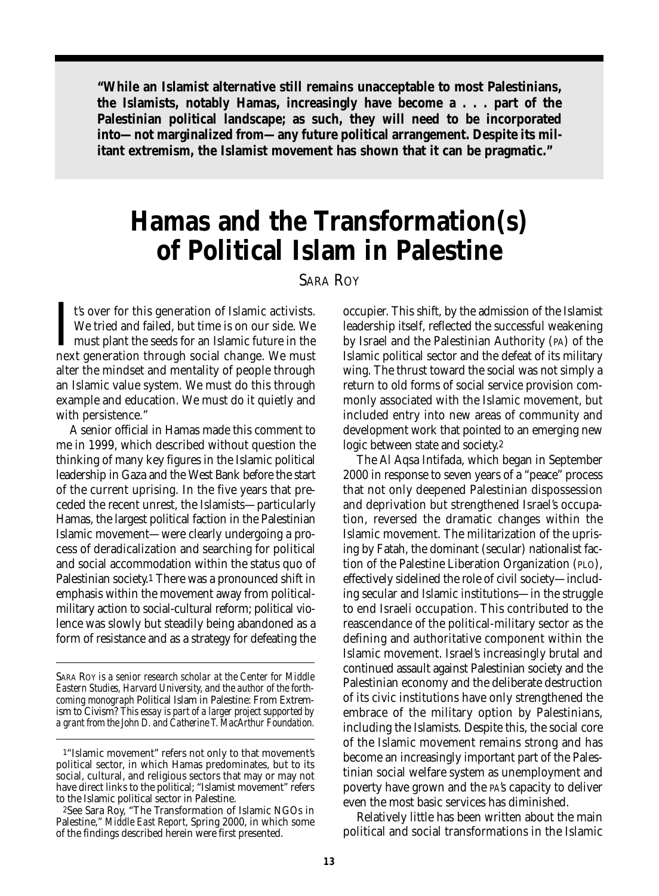**"While an Islamist alternative still remains unacceptable to most Palestinians, the Islamists, notably Hamas, increasingly have become a . . . part of the Palestinian political landscape; as such, they will need to be incorporated into—not marginalized from—any future political arrangement. Despite its militant extremism, the Islamist movement has shown that it can be pragmatic."**

# **Hamas and the Transformation(s) of Political Islam in Palestine**

## SARA ROY

It's over for this generation of Islamic activists.<br>We tried and failed, but time is on our side. We must plant the seeds for an Islamic future in the<br>next generation through social change. We must t's over for this generation of Islamic activists. We tried and failed, but time is on our side. We must plant the seeds for an Islamic future in the alter the mindset and mentality of people through an Islamic value system. We must do this through example and education. We must do it quietly and with persistence."

A senior official in Hamas made this comment to me in 1999, which described without question the thinking of many key figures in the Islamic political leadership in Gaza and the West Bank before the start of the current uprising. In the five years that preceded the recent unrest, the Islamists—particularly Hamas, the largest political faction in the Palestinian Islamic movement—were clearly undergoing a process of deradicalization and searching for political and social accommodation within the status quo of Palestinian society.1 There was a pronounced shift in emphasis within the movement away from politicalmilitary action to social-cultural reform; political violence was slowly but steadily being abandoned as a form of resistance and as a strategy for defeating the

occupier. This shift, by the admission of the Islamist leadership itself, reflected the successful weakening by Israel and the Palestinian Authority (PA) of the Islamic political sector and the defeat of its military wing. The thrust toward the social was not simply a return to old forms of social service provision commonly associated with the Islamic movement, but included entry into new areas of community and development work that pointed to an emerging new logic between state and society.2

The Al Aqsa Intifada, which began in September 2000 in response to seven years of a "peace" process that not only deepened Palestinian dispossession and deprivation but strengthened Israel's occupation, reversed the dramatic changes within the Islamic movement. The militarization of the uprising by Fatah, the dominant (secular) nationalist faction of the Palestine Liberation Organization (PLO), effectively sidelined the role of civil society—including secular and Islamic institutions—in the struggle to end Israeli occupation. This contributed to the reascendance of the political-military sector as the defining and authoritative component within the Islamic movement. Israel's increasingly brutal and continued assault against Palestinian society and the Palestinian economy and the deliberate destruction of its civic institutions have only strengthened the embrace of the military option by Palestinians, including the Islamists. Despite this, the social core of the Islamic movement remains strong and has become an increasingly important part of the Palestinian social welfare system as unemployment and poverty have grown and the PA's capacity to deliver even the most basic services has diminished.

Relatively little has been written about the main political and social transformations in the Islamic

SARA ROY *is a senior research scholar at the Center for Middle Eastern Studies, Harvard University, and the author of the forthcoming monograph* Political Islam in Palestine: From Extremism to Civism? *This essay is part of a larger project supported by a grant from the John D. and Catherine T. MacArthur Foundation.*

<sup>1&</sup>quot;Islamic movement" refers not only to that movement's political sector, in which Hamas predominates, but to its social, cultural, and religious sectors that may or may not have direct links to the political; "Islamist movement" refers to the Islamic political sector in Palestine.

<sup>2</sup>See Sara Roy, "The Transformation of Islamic NGOs in Palestine," *Middle East Report,* Spring 2000, in which some of the findings described herein were first presented.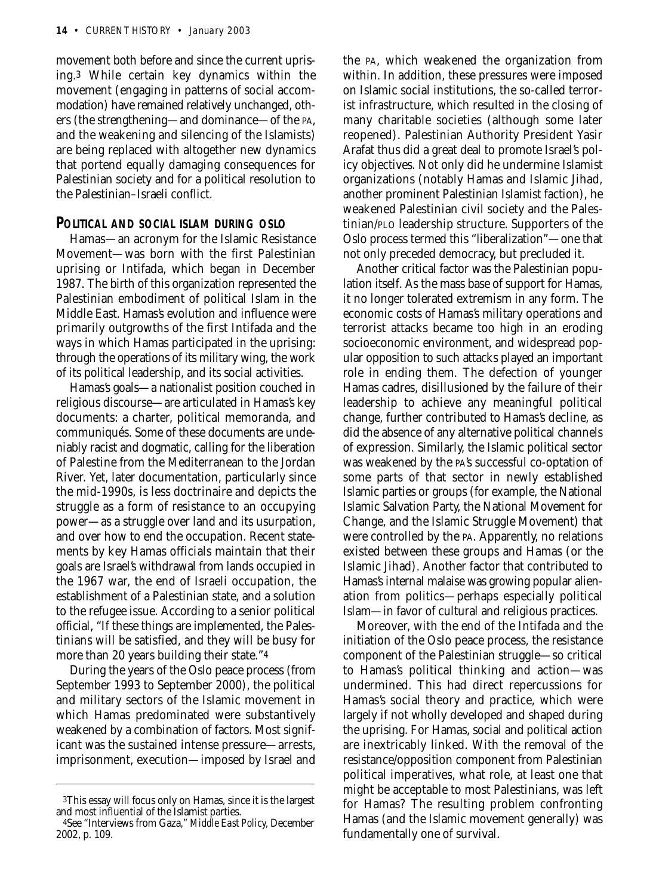movement both before and since the current uprising.3 While certain key dynamics within the movement (engaging in patterns of social accommodation) have remained relatively unchanged, others (the strengthening—and dominance—of the PA, and the weakening and silencing of the Islamists) are being replaced with altogether new dynamics that portend equally damaging consequences for Palestinian society and for a political resolution to the Palestinian–Israeli conflict.

### **POLITICAL AND SOCIAL ISLAM DURING OSLO**

Hamas—an acronym for the Islamic Resistance Movement—was born with the first Palestinian uprising or Intifada, which began in December 1987. The birth of this organization represented the Palestinian embodiment of political Islam in the Middle East. Hamas's evolution and influence were primarily outgrowths of the first Intifada and the ways in which Hamas participated in the uprising: through the operations of its military wing, the work of its political leadership, and its social activities.

Hamas's goals—a nationalist position couched in religious discourse—are articulated in Hamas's key documents: a charter, political memoranda, and communiqués. Some of these documents are undeniably racist and dogmatic, calling for the liberation of Palestine from the Mediterranean to the Jordan River. Yet, later documentation, particularly since the mid-1990s, is less doctrinaire and depicts the struggle as a form of resistance to an occupying power—as a struggle over land and its usurpation, and over how to end the occupation. Recent statements by key Hamas officials maintain that their goals are Israel's withdrawal from lands occupied in the 1967 war, the end of Israeli occupation, the establishment of a Palestinian state, and a solution to the refugee issue. According to a senior political official, "If these things are implemented, the Palestinians will be satisfied, and they will be busy for more than 20 years building their state."4

During the years of the Oslo peace process (from September 1993 to September 2000), the political and military sectors of the Islamic movement in which Hamas predominated were substantively weakened by a combination of factors. Most significant was the sustained intense pressure—arrests, imprisonment, execution—imposed by Israel and the PA, which weakened the organization from within. In addition, these pressures were imposed on Islamic social institutions, the so-called terrorist infrastructure, which resulted in the closing of many charitable societies (although some later reopened). Palestinian Authority President Yasir Arafat thus did a great deal to promote Israel's policy objectives. Not only did he undermine Islamist organizations (notably Hamas and Islamic Jihad, another prominent Palestinian Islamist faction), he weakened Palestinian civil society and the Palestinian/PLO leadership structure. Supporters of the Oslo process termed this "liberalization"—one that not only preceded democracy, but precluded it.

Another critical factor was the Palestinian population itself. As the mass base of support for Hamas, it no longer tolerated extremism in any form. The economic costs of Hamas's military operations and terrorist attacks became too high in an eroding socioeconomic environment, and widespread popular opposition to such attacks played an important role in ending them. The defection of younger Hamas cadres, disillusioned by the failure of their leadership to achieve any meaningful political change, further contributed to Hamas's decline, as did the absence of any alternative political channels of expression. Similarly, the Islamic political sector was weakened by the PA's successful co-optation of some parts of that sector in newly established Islamic parties or groups (for example, the National Islamic Salvation Party, the National Movement for Change, and the Islamic Struggle Movement) that were controlled by the PA. Apparently, no relations existed between these groups and Hamas (or the Islamic Jihad). Another factor that contributed to Hamas's internal malaise was growing popular alienation from politics—perhaps especially political Islam—in favor of cultural and religious practices.

Moreover, with the end of the Intifada and the initiation of the Oslo peace process, the resistance component of the Palestinian struggle—so critical to Hamas's political thinking and action—was undermined. This had direct repercussions for Hamas's social theory and practice, which were largely if not wholly developed and shaped during the uprising. For Hamas, social and political action are inextricably linked. With the removal of the resistance/opposition component from Palestinian political imperatives, what role, at least one that might be acceptable to most Palestinians, was left for Hamas? The resulting problem confronting Hamas (and the Islamic movement generally) was fundamentally one of survival.

<sup>3</sup>This essay will focus only on Hamas, since it is the largest and most influential of the Islamist parties.

<sup>4</sup>See "Interviews from Gaza," *Middle East Policy,* December 2002, p. 109.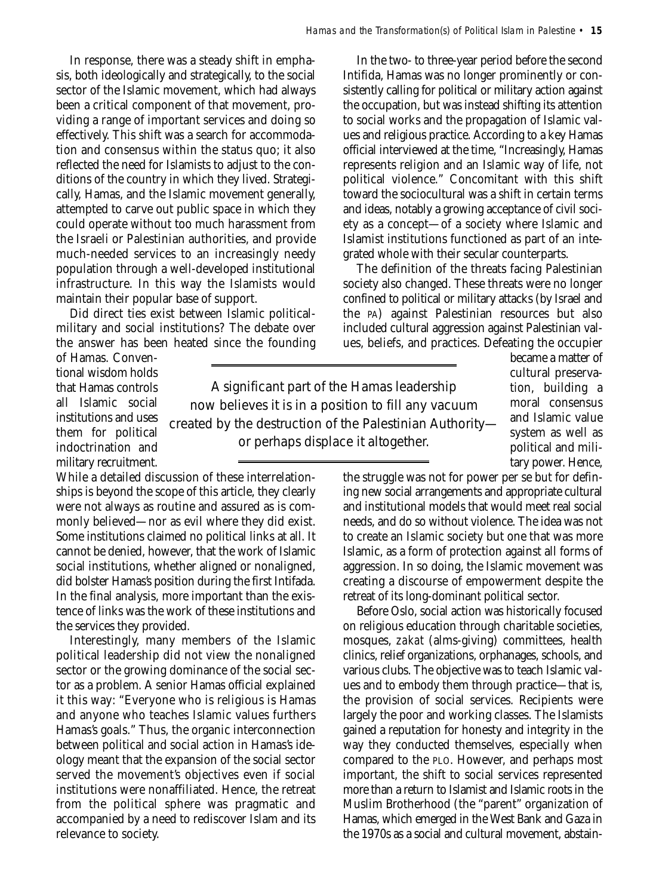In response, there was a steady shift in emphasis, both ideologically and strategically, to the social sector of the Islamic movement, which had always been a critical component of that movement, providing a range of important services and doing so effectively. This shift was a search for accommodation and consensus within the status quo; it also reflected the need for Islamists to adjust to the conditions of the country in which they lived. Strategically, Hamas, and the Islamic movement generally, attempted to carve out public space in which they could operate without too much harassment from the Israeli or Palestinian authorities, and provide much-needed services to an increasingly needy population through a well-developed institutional infrastructure. In this way the Islamists would maintain their popular base of support.

Did direct ties exist between Islamic politicalmilitary and social institutions? The debate over the answer has been heated since the founding

of Hamas. Conventional wisdom holds that Hamas controls all Islamic social institutions and uses them for political indoctrination and military recruitment.

While a detailed discussion of these interrelationships is beyond the scope of this article, they clearly were not always as routine and assured as is commonly believed—nor as evil where they did exist. Some institutions claimed no political links at all. It cannot be denied, however, that the work of Islamic social institutions, whether aligned or nonaligned, did bolster Hamas's position during the first Intifada. In the final analysis, more important than the existence of links was the work of these institutions and the services they provided.

Interestingly, many members of the Islamic political leadership did not view the nonaligned sector or the growing dominance of the social sector as a problem. A senior Hamas official explained it this way: "Everyone who is religious is Hamas and anyone who teaches Islamic values furthers Hamas's goals." Thus, the organic interconnection between political and social action in Hamas's ideology meant that the expansion of the social sector served the movement's objectives even if social institutions were nonaffiliated. Hence, the retreat from the political sphere was pragmatic and accompanied by a need to rediscover Islam and its relevance to society.

In the two- to three-year period before the second Intifida, Hamas was no longer prominently or consistently calling for political or military action against the occupation, but was instead shifting its attention to social works and the propagation of Islamic values and religious practice. According to a key Hamas official interviewed at the time, "Increasingly, Hamas represents religion and an Islamic way of life, not political violence." Concomitant with this shift toward the sociocultural was a shift in certain terms and ideas, notably a growing acceptance of civil society as a concept—of a society where Islamic and Islamist institutions functioned as part of an integrated whole with their secular counterparts.

The definition of the threats facing Palestinian society also changed. These threats were no longer confined to political or military attacks (by Israel and the PA) against Palestinian resources but also included cultural aggression against Palestinian values, beliefs, and practices. Defeating the occupier

*A significant part of the Hamas leadership now believes it is in a position to fill any vacuum created by the destruction of the Palestinian Authority or perhaps displace it altogether.*

became a matter of cultural preservation, building a moral consensus and Islamic value system as well as political and military power. Hence,

the struggle was not for power per se but for defining new social arrangements and appropriate cultural and institutional models that would meet real social needs, and do so without violence. The idea was not to create an Islamic society but one that was more Islamic, as a form of protection against all forms of aggression. In so doing, the Islamic movement was creating a discourse of empowerment despite the retreat of its long-dominant political sector.

Before Oslo, social action was historically focused on religious education through charitable societies, mosques, *zakat* (alms-giving) committees, health clinics, relief organizations, orphanages, schools, and various clubs. The objective was to teach Islamic values and to embody them through practice—that is, the provision of social services. Recipients were largely the poor and working classes. The Islamists gained a reputation for honesty and integrity in the way they conducted themselves, especially when compared to the PLO. However, and perhaps most important, the shift to social services represented more than a return to Islamist and Islamic roots in the Muslim Brotherhood (the "parent" organization of Hamas, which emerged in the West Bank and Gaza in the 1970s as a social and cultural movement, abstain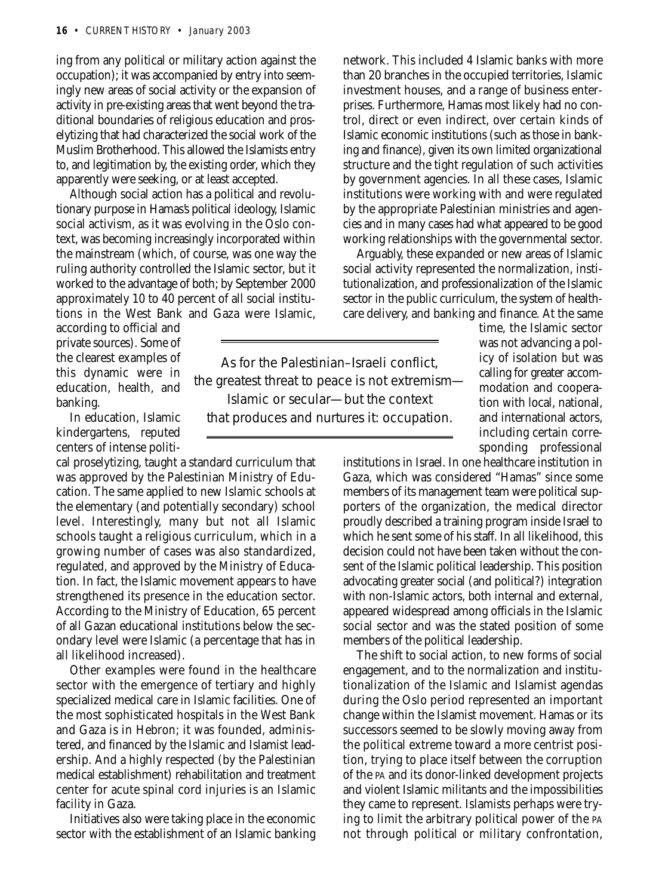ing from any political or military action against the occupation); it was accompanied by entry into seemingly new areas of social activity or the expansion of activity in pre-existing areas that went beyond the traditional boundaries of religious education and proselytizing that had characterized the social work of the Muslim Brotherhood. This allowed the Islamists entry to, and legitimation by, the existing order, which they apparently were seeking, or at least accepted.

Although social action has a political and revolutionary purpose in Hamas's political ideology, Islamic social activism, as it was evolving in the Oslo context, was becoming increasingly incorporated within the mainstream (which, of course, was one way the ruling authority controlled the Islamic sector, but it worked to the advantage of both; by September 2000 approximately 10 to 40 percent of all social institutions in the West Bank and Gaza were Islamic,

according to official and private sources). Some of the clearest examples of this dynamic were in education, health, and banking.

In education, Islamic kindergartens, reputed centers of intense politi-

cal proselytizing, taught a standard curriculum that was approved by the Palestinian Ministry of Education. The same applied to new Islamic schools at the elementary (and potentially secondary) school level. Interestingly, many but not all Islamic schools taught a religious curriculum, which in a growing number of cases was also standardized, regulated, and approved by the Ministry of Education. In fact, the Islamic movement appears to have strengthened its presence in the education sector. According to the Ministry of Education, 65 percent of all Gazan educational institutions below the secondary level were Islamic (a percentage that has in all likelihood increased).

Other examples were found in the healthcare sector with the emergence of tertiary and highly specialized medical care in Islamic facilities. One of the most sophisticated hospitals in the West Bank and Gaza is in Hebron; it was founded, administered, and financed by the Islamic and Islamist leadership. And a highly respected (by the Palestinian medical establishment) rehabilitation and treatment center for acute spinal cord injuries is an Islamic facility in Gaza.

Initiatives also were taking place in the economic sector with the establishment of an Islamic banking network. This included 4 Islamic banks with more than 20 branches in the occupied territories, Islamic investment houses, and a range of business enterprises. Furthermore, Hamas most likely had no control, direct or even indirect, over certain kinds of Islamic economic institutions (such as those in banking and finance), given its own limited organizational structure and the tight regulation of such activities by government agencies. In all these cases, Islamic institutions were working with and were regulated by the appropriate Palestinian ministries and agencies and in many cases had what appeared to be good working relationships with the governmental sector.

Arguably, these expanded or new areas of Islamic social activity represented the normalization, institutionalization, and professionalization of the Islamic sector in the public curriculum, the system of healthcare delivery, and banking and finance. At the same

*As for the Palestinian–Israeli conflict, the greatest threat to peace is not extremism— Islamic or secular—but the context that produces and nurtures it: occupation.*

time, the Islamic sector was not advancing a policy of isolation but was calling for greater accommodation and cooperation with local, national, and international actors, including certain corresponding professional

institutions in Israel. In one healthcare institution in Gaza, which was considered "Hamas" since some members of its management team were political supporters of the organization, the medical director proudly described a training program inside Israel to which he sent some of his staff. In all likelihood, this decision could not have been taken without the consent of the Islamic political leadership. This position advocating greater social (and political?) integration with non-Islamic actors, both internal and external, appeared widespread among officials in the Islamic social sector and was the stated position of some members of the political leadership.

The shift to social action, to new forms of social engagement, and to the normalization and institutionalization of the Islamic and Islamist agendas during the Oslo period represented an important change within the Islamist movement. Hamas or its successors seemed to be slowly moving away from the political extreme toward a more centrist position, trying to place itself between the corruption of the PA and its donor-linked development projects and violent Islamic militants and the impossibilities they came to represent. Islamists perhaps were trying to limit the arbitrary political power of the PA not through political or military confrontation,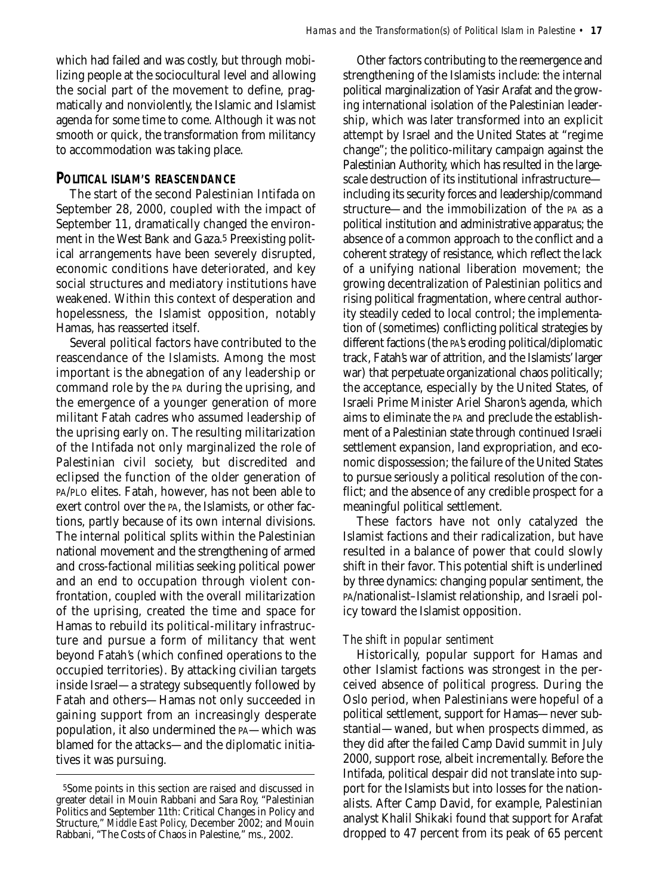which had failed and was costly, but through mobilizing people at the sociocultural level and allowing the social part of the movement to define, pragmatically and nonviolently, the Islamic and Islamist agenda for some time to come. Although it was not smooth or quick, the transformation from militancy to accommodation was taking place.

#### **POLITICAL ISLAM'S REASCENDANCE**

The start of the second Palestinian Intifada on September 28, 2000, coupled with the impact of September 11, dramatically changed the environment in the West Bank and Gaza.5 Preexisting political arrangements have been severely disrupted, economic conditions have deteriorated, and key social structures and mediatory institutions have weakened. Within this context of desperation and hopelessness, the Islamist opposition, notably Hamas, has reasserted itself.

Several political factors have contributed to the reascendance of the Islamists. Among the most important is the abnegation of any leadership or command role by the PA during the uprising, and the emergence of a younger generation of more militant Fatah cadres who assumed leadership of the uprising early on. The resulting militarization of the Intifada not only marginalized the role of Palestinian civil society, but discredited and eclipsed the function of the older generation of PA/PLO elites. Fatah, however, has not been able to exert control over the PA, the Islamists, or other factions, partly because of its own internal divisions. The internal political splits within the Palestinian national movement and the strengthening of armed and cross-factional militias seeking political power and an end to occupation through violent confrontation, coupled with the overall militarization of the uprising, created the time and space for Hamas to rebuild its political-military infrastructure and pursue a form of militancy that went beyond Fatah's (which confined operations to the occupied territories). By attacking civilian targets inside Israel—a strategy subsequently followed by Fatah and others—Hamas not only succeeded in gaining support from an increasingly desperate population, it also undermined the PA—which was blamed for the attacks—and the diplomatic initiatives it was pursuing.

Other factors contributing to the reemergence and strengthening of the Islamists include: the internal political marginalization of Yasir Arafat and the growing international isolation of the Palestinian leadership, which was later transformed into an explicit attempt by Israel and the United States at "regime change"; the politico-military campaign against the Palestinian Authority, which has resulted in the largescale destruction of its institutional infrastructure including its security forces and leadership/command structure—and the immobilization of the PA as a political institution and administrative apparatus; the absence of a common approach to the conflict and a coherent strategy of resistance, which reflect the lack of a unifying national liberation movement; the growing decentralization of Palestinian politics and rising political fragmentation, where central authority steadily ceded to local control; the implementation of (sometimes) conflicting political strategies by different factions (the PA's eroding political/diplomatic track, Fatah's war of attrition, and the Islamists' larger war) that perpetuate organizational chaos politically; the acceptance, especially by the United States, of Israeli Prime Minister Ariel Sharon's agenda, which aims to eliminate the PA and preclude the establishment of a Palestinian state through continued Israeli settlement expansion, land expropriation, and economic dispossession; the failure of the United States to pursue seriously a political resolution of the conflict; and the absence of any credible prospect for a meaningful political settlement.

These factors have not only catalyzed the Islamist factions and their radicalization, but have resulted in a balance of power that could slowly shift in their favor. This potential shift is underlined by three dynamics: changing popular sentiment, the PA/nationalist–Islamist relationship, and Israeli policy toward the Islamist opposition.

#### *The shift in popular sentiment*

Historically, popular support for Hamas and other Islamist factions was strongest in the perceived absence of political progress. During the Oslo period, when Palestinians were hopeful of a political settlement, support for Hamas—never substantial—waned, but when prospects dimmed, as they did after the failed Camp David summit in July 2000, support rose, albeit incrementally. Before the Intifada, political despair did not translate into support for the Islamists but into losses for the nationalists. After Camp David, for example, Palestinian analyst Khalil Shikaki found that support for Arafat dropped to 47 percent from its peak of 65 percent

<sup>5</sup>Some points in this section are raised and discussed in greater detail in Mouin Rabbani and Sara Roy, "Palestinian Politics and September 11th: Critical Changes in Policy and Structure," *Middle East Policy,* December 2002; and Mouin Rabbani, "The Costs of Chaos in Palestine," ms., 2002.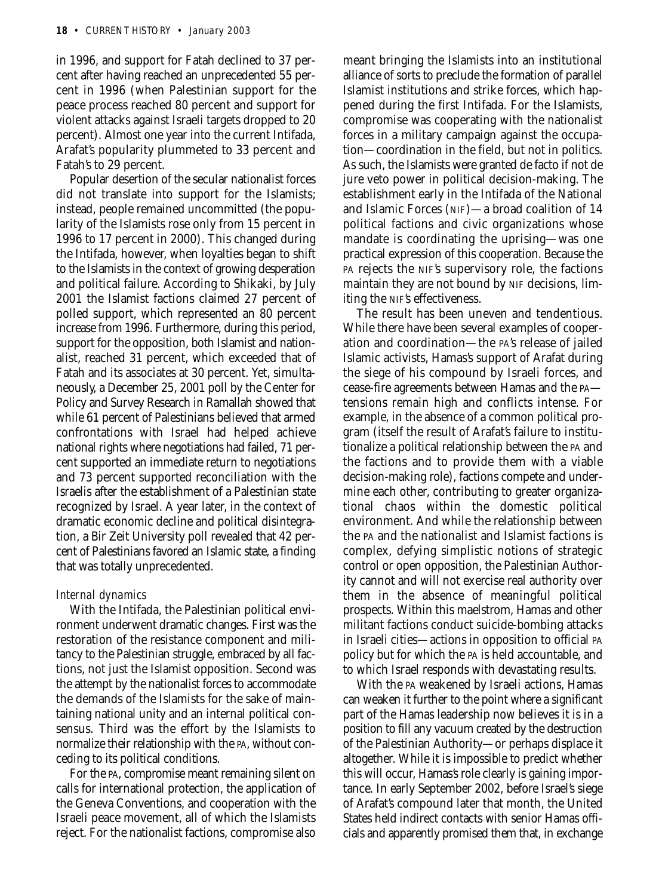in 1996, and support for Fatah declined to 37 percent after having reached an unprecedented 55 percent in 1996 (when Palestinian support for the peace process reached 80 percent and support for violent attacks against Israeli targets dropped to 20 percent). Almost one year into the current Intifada, Arafat's popularity plummeted to 33 percent and Fatah's to 29 percent.

Popular desertion of the secular nationalist forces did not translate into support for the Islamists; instead, people remained uncommitted (the popularity of the Islamists rose only from 15 percent in 1996 to 17 percent in 2000). This changed during the Intifada, however, when loyalties began to shift to the Islamists in the context of growing desperation and political failure. According to Shikaki, by July 2001 the Islamist factions claimed 27 percent of polled support, which represented an 80 percent increase from 1996. Furthermore, during this period, support for the opposition, both Islamist and nationalist, reached 31 percent, which exceeded that of Fatah and its associates at 30 percent. Yet, simultaneously, a December 25, 2001 poll by the Center for Policy and Survey Research in Ramallah showed that while 61 percent of Palestinians believed that armed confrontations with Israel had helped achieve national rights where negotiations had failed, 71 percent supported an immediate return to negotiations and 73 percent supported reconciliation with the Israelis after the establishment of a Palestinian state recognized by Israel. A year later, in the context of dramatic economic decline and political disintegration, a Bir Zeit University poll revealed that 42 percent of Palestinians favored an Islamic state, a finding that was totally unprecedented.

#### *Internal dynamics*

With the Intifada, the Palestinian political environment underwent dramatic changes. First was the restoration of the resistance component and militancy to the Palestinian struggle, embraced by all factions, not just the Islamist opposition. Second was the attempt by the nationalist forces to accommodate the demands of the Islamists for the sake of maintaining national unity and an internal political consensus. Third was the effort by the Islamists to normalize their relationship with the PA, without conceding to its political conditions.

For the PA, compromise meant remaining silent on calls for international protection, the application of the Geneva Conventions, and cooperation with the Israeli peace movement, all of which the Islamists reject. For the nationalist factions, compromise also meant bringing the Islamists into an institutional alliance of sorts to preclude the formation of parallel Islamist institutions and strike forces, which happened during the first Intifada. For the Islamists, compromise was cooperating with the nationalist forces in a military campaign against the occupation—coordination in the field, but not in politics. As such, the Islamists were granted de facto if not de jure veto power in political decision-making. The establishment early in the Intifada of the National and Islamic Forces (NIF)—a broad coalition of 14 political factions and civic organizations whose mandate is coordinating the uprising—was one practical expression of this cooperation. Because the PA rejects the NIF's supervisory role, the factions maintain they are not bound by NIF decisions, limiting the NIF's effectiveness.

The result has been uneven and tendentious. While there have been several examples of cooperation and coordination—the PA's release of jailed Islamic activists, Hamas's support of Arafat during the siege of his compound by Israeli forces, and cease-fire agreements between Hamas and the PA tensions remain high and conflicts intense. For example, in the absence of a common political program (itself the result of Arafat's failure to institutionalize a political relationship between the PA and the factions and to provide them with a viable decision-making role), factions compete and undermine each other, contributing to greater organizational chaos within the domestic political environment. And while the relationship between the PA and the nationalist and Islamist factions is complex, defying simplistic notions of strategic control or open opposition, the Palestinian Authority cannot and will not exercise real authority over them in the absence of meaningful political prospects. Within this maelstrom, Hamas and other militant factions conduct suicide-bombing attacks in Israeli cities—actions in opposition to official PA policy but for which the PA is held accountable, and to which Israel responds with devastating results.

With the PA weakened by Israeli actions, Hamas can weaken it further to the point where a significant part of the Hamas leadership now believes it is in a position to fill any vacuum created by the destruction of the Palestinian Authority—or perhaps displace it altogether. While it is impossible to predict whether this will occur, Hamas's role clearly is gaining importance. In early September 2002, before Israel's siege of Arafat's compound later that month, the United States held indirect contacts with senior Hamas officials and apparently promised them that, in exchange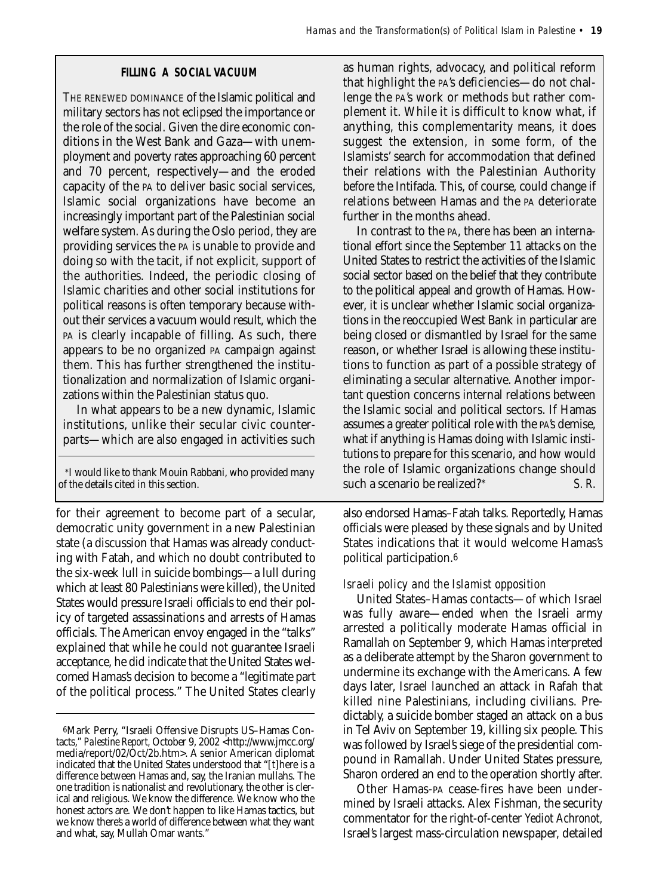#### **FILLING A SOCIAL VACUUM**

THE RENEWED DOMINANCE of the Islamic political and military sectors has not eclipsed the importance or the role of the social. Given the dire economic conditions in the West Bank and Gaza—with unemployment and poverty rates approaching 60 percent and 70 percent, respectively—and the eroded capacity of the PA to deliver basic social services, Islamic social organizations have become an increasingly important part of the Palestinian social welfare system. As during the Oslo period, they are providing services the PA is unable to provide and doing so with the tacit, if not explicit, support of the authorities. Indeed, the periodic closing of Islamic charities and other social institutions for political reasons is often temporary because without their services a vacuum would result, which the PA is clearly incapable of filling. As such, there appears to be no organized PA campaign against them. This has further strengthened the institutionalization and normalization of Islamic organizations within the Palestinian status quo.

In what appears to be a new dynamic, Islamic institutions, unlike their secular civic counterparts—which are also engaged in activities such

\*I would like to thank Mouin Rabbani, who provided many of the details cited in this section.

for their agreement to become part of a secular, democratic unity government in a new Palestinian state (a discussion that Hamas was already conducting with Fatah, and which no doubt contributed to the six-week lull in suicide bombings—a lull during which at least 80 Palestinians were killed), the United States would pressure Israeli officials to end their policy of targeted assassinations and arrests of Hamas officials. The American envoy engaged in the "talks" explained that while he could not guarantee Israeli acceptance, he did indicate that the United States welcomed Hamas's decision to become a "legitimate part of the political process." The United States clearly

as human rights, advocacy, and political reform that highlight the PA's deficiencies—do not challenge the PA's work or methods but rather complement it. While it is difficult to know what, if anything, this complementarity means, it does suggest the extension, in some form, of the Islamists' search for accommodation that defined their relations with the Palestinian Authority before the Intifada. This, of course, could change if relations between Hamas and the PA deteriorate further in the months ahead.

In contrast to the PA, there has been an international effort since the September 11 attacks on the United States to restrict the activities of the Islamic social sector based on the belief that they contribute to the political appeal and growth of Hamas. However, it is unclear whether Islamic social organizations in the reoccupied West Bank in particular are being closed or dismantled by Israel for the same reason, or whether Israel is allowing these institutions to function as part of a possible strategy of eliminating a secular alternative. Another important question concerns internal relations between the Islamic social and political sectors. If Hamas assumes a greater political role with the PA's demise, what if anything is Hamas doing with Islamic institutions to prepare for this scenario, and how would the role of Islamic organizations change should such a scenario be realized?\* *S. R.*

also endorsed Hamas–Fatah talks. Reportedly, Hamas officials were pleased by these signals and by United States indications that it would welcome Hamas's political participation.6

#### *Israeli policy and the Islamist opposition*

United States–Hamas contacts—of which Israel was fully aware—ended when the Israeli army arrested a politically moderate Hamas official in Ramallah on September 9, which Hamas interpreted as a deliberate attempt by the Sharon government to undermine its exchange with the Americans. A few days later, Israel launched an attack in Rafah that killed nine Palestinians, including civilians. Predictably, a suicide bomber staged an attack on a bus in Tel Aviv on September 19, killing six people. This was followed by Israel's siege of the presidential compound in Ramallah. Under United States pressure, Sharon ordered an end to the operation shortly after.

Other Hamas-PA cease-fires have been undermined by Israeli attacks. Alex Fishman, the security commentator for the right-of-center *Yediot Achronot,* Israel's largest mass-circulation newspaper, detailed

<sup>6</sup>Mark Perry, "Israeli Offensive Disrupts US–Hamas Contacts," Palestine Report, October 9, 2002 <http://www.jmcc.org/ media/report/02/Oct/2b.htm>. A senior American diplomat indicated that the United States understood that "[t]here is a difference between Hamas and, say, the Iranian mullahs. The one tradition is nationalist and revolutionary, the other is clerical and religious. We know the difference. We know who the honest actors are. We don't happen to like Hamas tactics, but we know there's a world of difference between what they want and what, say, Mullah Omar wants."